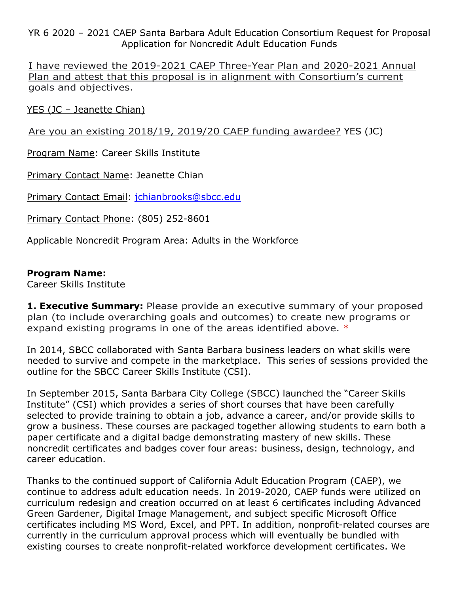YR 6 2020 – 2021 CAEP Santa Barbara Adult Education Consortium Request for Proposal Application for Noncredit Adult Education Funds

I have reviewed the 2019-2021 CAEP Three-Year Plan and 2020-2021 Annual Plan and attest that this proposal is in alignment with Consortium's current goals and objectives.

YES (JC – Jeanette Chian)

Are you an existing 2018/19, 2019/20 CAEP funding awardee? YES (JC)

Program Name: Career Skills Institute

Primary Contact Name: Jeanette Chian

Primary Contact Email: [jchianbrooks@sbcc.edu](mailto:jchianbrooks@sbcc.edu)

Primary Contact Phone: (805) 252-8601

Applicable Noncredit Program Area: Adults in the Workforce

### **Program Name:**

Career Skills Institute

**1. Executive Summary:** Please provide an executive summary of your proposed plan (to include overarching goals and outcomes) to create new programs or expand existing programs in one of the areas identified above. \*

In 2014, SBCC collaborated with Santa Barbara business leaders on what skills were needed to survive and compete in the marketplace. This series of sessions provided the outline for the SBCC Career Skills Institute (CSI).

In September 2015, Santa Barbara City College (SBCC) launched the "Career Skills Institute" (CSI) which provides a series of short courses that have been carefully selected to provide training to obtain a job, advance a career, and/or provide skills to grow a business. These courses are packaged together allowing students to earn both a paper certificate and a digital badge demonstrating mastery of new skills. These noncredit certificates and badges cover four areas: business, design, technology, and career education.

Thanks to the continued support of California Adult Education Program (CAEP), we continue to address adult education needs. In 2019-2020, CAEP funds were utilized on curriculum redesign and creation occurred on at least 6 certificates including Advanced Green Gardener, Digital Image Management, and subject specific Microsoft Office certificates including MS Word, Excel, and PPT. In addition, nonprofit-related courses are currently in the curriculum approval process which will eventually be bundled with existing courses to create nonprofit-related workforce development certificates. We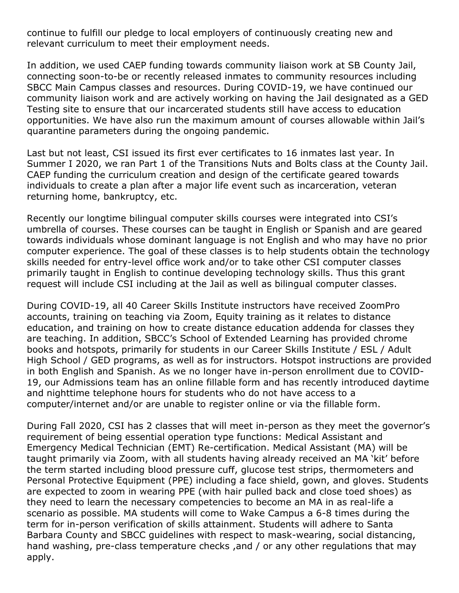continue to fulfill our pledge to local employers of continuously creating new and relevant curriculum to meet their employment needs.

In addition, we used CAEP funding towards community liaison work at SB County Jail, connecting soon-to-be or recently released inmates to community resources including SBCC Main Campus classes and resources. During COVID-19, we have continued our community liaison work and are actively working on having the Jail designated as a GED Testing site to ensure that our incarcerated students still have access to education opportunities. We have also run the maximum amount of courses allowable within Jail's quarantine parameters during the ongoing pandemic.

Last but not least, CSI issued its first ever certificates to 16 inmates last year. In Summer I 2020, we ran Part 1 of the Transitions Nuts and Bolts class at the County Jail. CAEP funding the curriculum creation and design of the certificate geared towards individuals to create a plan after a major life event such as incarceration, veteran returning home, bankruptcy, etc.

Recently our longtime bilingual computer skills courses were integrated into CSI's umbrella of courses. These courses can be taught in English or Spanish and are geared towards individuals whose dominant language is not English and who may have no prior computer experience. The goal of these classes is to help students obtain the technology skills needed for entry-level office work and/or to take other CSI computer classes primarily taught in English to continue developing technology skills. Thus this grant request will include CSI including at the Jail as well as bilingual computer classes.

During COVID-19, all 40 Career Skills Institute instructors have received ZoomPro accounts, training on teaching via Zoom, Equity training as it relates to distance education, and training on how to create distance education addenda for classes they are teaching. In addition, SBCC's School of Extended Learning has provided chrome books and hotspots, primarily for students in our Career Skills Institute / ESL / Adult High School / GED programs, as well as for instructors. Hotspot instructions are provided in both English and Spanish. As we no longer have in-person enrollment due to COVID-19, our Admissions team has an online fillable form and has recently introduced daytime and nighttime telephone hours for students who do not have access to a computer/internet and/or are unable to register online or via the fillable form.

During Fall 2020, CSI has 2 classes that will meet in-person as they meet the governor's requirement of being essential operation type functions: Medical Assistant and Emergency Medical Technician (EMT) Re-certification. Medical Assistant (MA) will be taught primarily via Zoom, with all students having already received an MA 'kit' before the term started including blood pressure cuff, glucose test strips, thermometers and Personal Protective Equipment (PPE) including a face shield, gown, and gloves. Students are expected to zoom in wearing PPE (with hair pulled back and close toed shoes) as they need to learn the necessary competencies to become an MA in as real-life a scenario as possible. MA students will come to Wake Campus a 6-8 times during the term for in-person verification of skills attainment. Students will adhere to Santa Barbara County and SBCC guidelines with respect to mask-wearing, social distancing, hand washing, pre-class temperature checks, and / or any other regulations that may apply.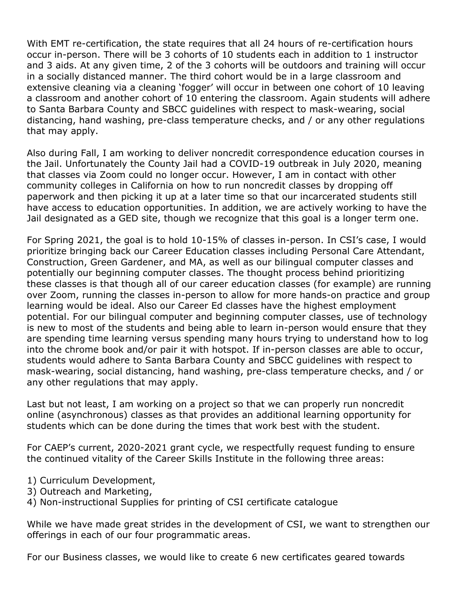With EMT re-certification, the state requires that all 24 hours of re-certification hours occur in-person. There will be 3 cohorts of 10 students each in addition to 1 instructor and 3 aids. At any given time, 2 of the 3 cohorts will be outdoors and training will occur in a socially distanced manner. The third cohort would be in a large classroom and extensive cleaning via a cleaning 'fogger' will occur in between one cohort of 10 leaving a classroom and another cohort of 10 entering the classroom. Again students will adhere to Santa Barbara County and SBCC guidelines with respect to mask-wearing, social distancing, hand washing, pre-class temperature checks, and / or any other regulations that may apply.

Also during Fall, I am working to deliver noncredit correspondence education courses in the Jail. Unfortunately the County Jail had a COVID-19 outbreak in July 2020, meaning that classes via Zoom could no longer occur. However, I am in contact with other community colleges in California on how to run noncredit classes by dropping off paperwork and then picking it up at a later time so that our incarcerated students still have access to education opportunities. In addition, we are actively working to have the Jail designated as a GED site, though we recognize that this goal is a longer term one.

For Spring 2021, the goal is to hold 10-15% of classes in-person. In CSI's case, I would prioritize bringing back our Career Education classes including Personal Care Attendant, Construction, Green Gardener, and MA, as well as our bilingual computer classes and potentially our beginning computer classes. The thought process behind prioritizing these classes is that though all of our career education classes (for example) are running over Zoom, running the classes in-person to allow for more hands-on practice and group learning would be ideal. Also our Career Ed classes have the highest employment potential. For our bilingual computer and beginning computer classes, use of technology is new to most of the students and being able to learn in-person would ensure that they are spending time learning versus spending many hours trying to understand how to log into the chrome book and/or pair it with hotspot. If in-person classes are able to occur, students would adhere to Santa Barbara County and SBCC guidelines with respect to mask-wearing, social distancing, hand washing, pre-class temperature checks, and / or any other regulations that may apply.

Last but not least, I am working on a project so that we can properly run noncredit online (asynchronous) classes as that provides an additional learning opportunity for students which can be done during the times that work best with the student.

For CAEP's current, 2020-2021 grant cycle, we respectfully request funding to ensure the continued vitality of the Career Skills Institute in the following three areas:

- 1) Curriculum Development,
- 3) Outreach and Marketing,
- 4) Non-instructional Supplies for printing of CSI certificate catalogue

While we have made great strides in the development of CSI, we want to strengthen our offerings in each of our four programmatic areas.

For our Business classes, we would like to create 6 new certificates geared towards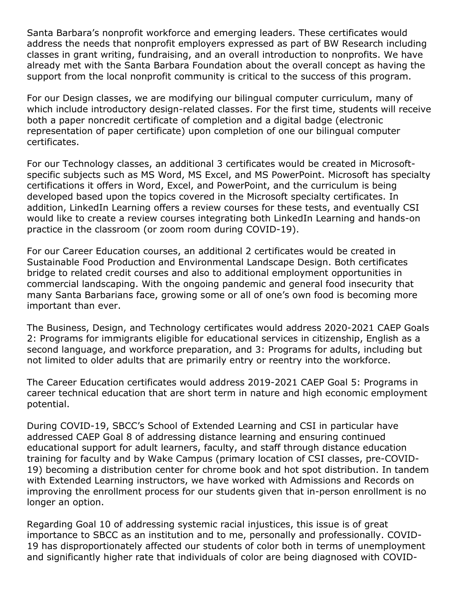Santa Barbara's nonprofit workforce and emerging leaders. These certificates would address the needs that nonprofit employers expressed as part of BW Research including classes in grant writing, fundraising, and an overall introduction to nonprofits. We have already met with the Santa Barbara Foundation about the overall concept as having the support from the local nonprofit community is critical to the success of this program.

For our Design classes, we are modifying our bilingual computer curriculum, many of which include introductory design-related classes. For the first time, students will receive both a paper noncredit certificate of completion and a digital badge (electronic representation of paper certificate) upon completion of one our bilingual computer certificates.

For our Technology classes, an additional 3 certificates would be created in Microsoftspecific subjects such as MS Word, MS Excel, and MS PowerPoint. Microsoft has specialty certifications it offers in Word, Excel, and PowerPoint, and the curriculum is being developed based upon the topics covered in the Microsoft specialty certificates. In addition, LinkedIn Learning offers a review courses for these tests, and eventually CSI would like to create a review courses integrating both LinkedIn Learning and hands-on practice in the classroom (or zoom room during COVID-19).

For our Career Education courses, an additional 2 certificates would be created in Sustainable Food Production and Environmental Landscape Design. Both certificates bridge to related credit courses and also to additional employment opportunities in commercial landscaping. With the ongoing pandemic and general food insecurity that many Santa Barbarians face, growing some or all of one's own food is becoming more important than ever.

The Business, Design, and Technology certificates would address 2020-2021 CAEP Goals 2: Programs for immigrants eligible for educational services in citizenship, English as a second language, and workforce preparation, and 3: Programs for adults, including but not limited to older adults that are primarily entry or reentry into the workforce.

The Career Education certificates would address 2019-2021 CAEP Goal 5: Programs in career technical education that are short term in nature and high economic employment potential.

During COVID-19, SBCC's School of Extended Learning and CSI in particular have addressed CAEP Goal 8 of addressing distance learning and ensuring continued educational support for adult learners, faculty, and staff through distance education training for faculty and by Wake Campus (primary location of CSI classes, pre-COVID-19) becoming a distribution center for chrome book and hot spot distribution. In tandem with Extended Learning instructors, we have worked with Admissions and Records on improving the enrollment process for our students given that in-person enrollment is no longer an option.

Regarding Goal 10 of addressing systemic racial injustices, this issue is of great importance to SBCC as an institution and to me, personally and professionally. COVID-19 has disproportionately affected our students of color both in terms of unemployment and significantly higher rate that individuals of color are being diagnosed with COVID-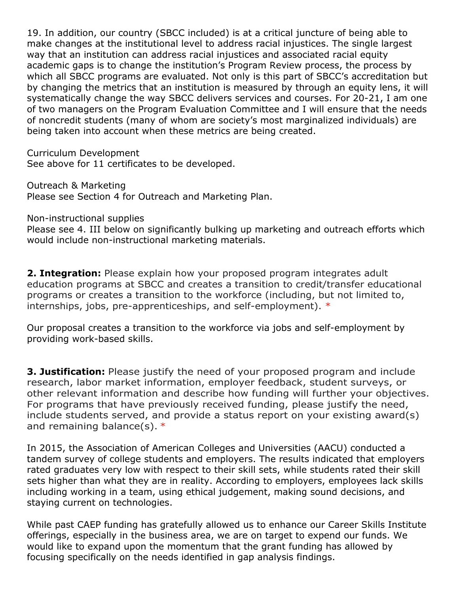19. In addition, our country (SBCC included) is at a critical juncture of being able to make changes at the institutional level to address racial injustices. The single largest way that an institution can address racial injustices and associated racial equity academic gaps is to change the institution's Program Review process, the process by which all SBCC programs are evaluated. Not only is this part of SBCC's accreditation but by changing the metrics that an institution is measured by through an equity lens, it will systematically change the way SBCC delivers services and courses. For 20-21, I am one of two managers on the Program Evaluation Committee and I will ensure that the needs of noncredit students (many of whom are society's most marginalized individuals) are being taken into account when these metrics are being created.

Curriculum Development See above for 11 certificates to be developed.

Outreach & Marketing Please see Section 4 for Outreach and Marketing Plan.

Non-instructional supplies

Please see 4. III below on significantly bulking up marketing and outreach efforts which would include non-instructional marketing materials.

**2. Integration:** Please explain how your proposed program integrates adult education programs at SBCC and creates a transition to credit/transfer educational programs or creates a transition to the workforce (including, but not limited to, internships, jobs, pre-apprenticeships, and self-employment). \*

Our proposal creates a transition to the workforce via jobs and self-employment by providing work-based skills.

**3. Justification:** Please justify the need of your proposed program and include research, labor market information, employer feedback, student surveys, or other relevant information and describe how funding will further your objectives. For programs that have previously received funding, please justify the need, include students served, and provide a status report on your existing award(s) and remaining balance(s). \*

In 2015, the Association of American Colleges and Universities (AACU) conducted a tandem survey of college students and employers. The results indicated that employers rated graduates very low with respect to their skill sets, while students rated their skill sets higher than what they are in reality. According to employers, employees lack skills including working in a team, using ethical judgement, making sound decisions, and staying current on technologies.

While past CAEP funding has gratefully allowed us to enhance our Career Skills Institute offerings, especially in the business area, we are on target to expend our funds. We would like to expand upon the momentum that the grant funding has allowed by focusing specifically on the needs identified in gap analysis findings.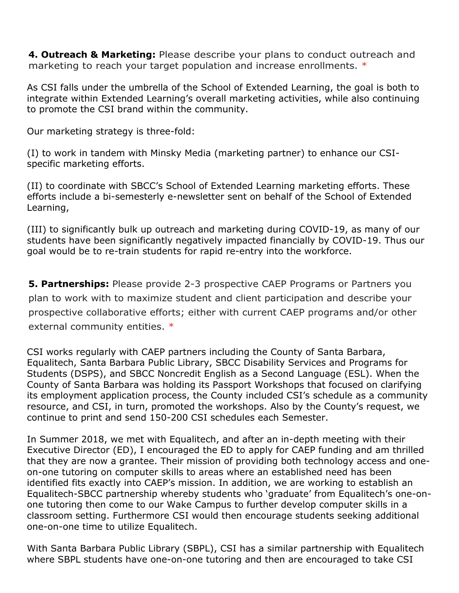**4. Outreach & Marketing:** Please describe your plans to conduct outreach and marketing to reach your target population and increase enrollments. \*

As CSI falls under the umbrella of the School of Extended Learning, the goal is both to integrate within Extended Learning's overall marketing activities, while also continuing to promote the CSI brand within the community.

Our marketing strategy is three-fold:

(I) to work in tandem with Minsky Media (marketing partner) to enhance our CSIspecific marketing efforts.

(II) to coordinate with SBCC's School of Extended Learning marketing efforts. These efforts include a bi-semesterly e-newsletter sent on behalf of the School of Extended Learning,

(III) to significantly bulk up outreach and marketing during COVID-19, as many of our students have been significantly negatively impacted financially by COVID-19. Thus our goal would be to re-train students for rapid re-entry into the workforce.

**5. Partnerships:** Please provide 2-3 prospective CAEP Programs or Partners you plan to work with to maximize student and client participation and describe your prospective collaborative efforts; either with current CAEP programs and/or other external community entities. \*

CSI works regularly with CAEP partners including the County of Santa Barbara, Equalitech, Santa Barbara Public Library, SBCC Disability Services and Programs for Students (DSPS), and SBCC Noncredit English as a Second Language (ESL). When the County of Santa Barbara was holding its Passport Workshops that focused on clarifying its employment application process, the County included CSI's schedule as a community resource, and CSI, in turn, promoted the workshops. Also by the County's request, we continue to print and send 150-200 CSI schedules each Semester.

In Summer 2018, we met with Equalitech, and after an in-depth meeting with their Executive Director (ED), I encouraged the ED to apply for CAEP funding and am thrilled that they are now a grantee. Their mission of providing both technology access and oneon-one tutoring on computer skills to areas where an established need has been identified fits exactly into CAEP's mission. In addition, we are working to establish an Equalitech-SBCC partnership whereby students who 'graduate' from Equalitech's one-onone tutoring then come to our Wake Campus to further develop computer skills in a classroom setting. Furthermore CSI would then encourage students seeking additional one-on-one time to utilize Equalitech.

With Santa Barbara Public Library (SBPL), CSI has a similar partnership with Equalitech where SBPL students have one-on-one tutoring and then are encouraged to take CSI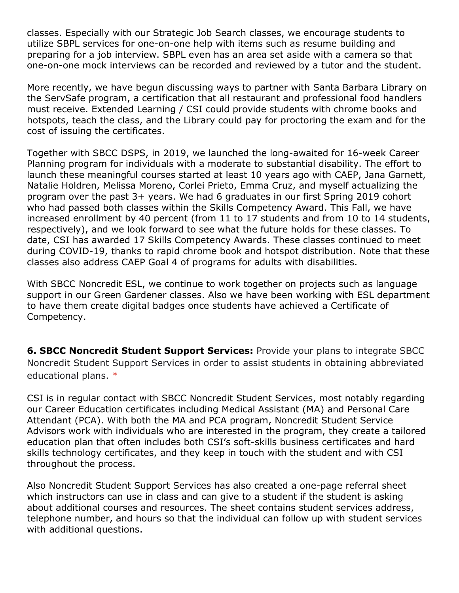classes. Especially with our Strategic Job Search classes, we encourage students to utilize SBPL services for one-on-one help with items such as resume building and preparing for a job interview. SBPL even has an area set aside with a camera so that one-on-one mock interviews can be recorded and reviewed by a tutor and the student.

More recently, we have begun discussing ways to partner with Santa Barbara Library on the ServSafe program, a certification that all restaurant and professional food handlers must receive. Extended Learning / CSI could provide students with chrome books and hotspots, teach the class, and the Library could pay for proctoring the exam and for the cost of issuing the certificates.

Together with SBCC DSPS, in 2019, we launched the long-awaited for 16-week Career Planning program for individuals with a moderate to substantial disability. The effort to launch these meaningful courses started at least 10 years ago with CAEP, Jana Garnett, Natalie Holdren, Melissa Moreno, Corlei Prieto, Emma Cruz, and myself actualizing the program over the past 3+ years. We had 6 graduates in our first Spring 2019 cohort who had passed both classes within the Skills Competency Award. This Fall, we have increased enrollment by 40 percent (from 11 to 17 students and from 10 to 14 students, respectively), and we look forward to see what the future holds for these classes. To date, CSI has awarded 17 Skills Competency Awards. These classes continued to meet during COVID-19, thanks to rapid chrome book and hotspot distribution. Note that these classes also address CAEP Goal 4 of programs for adults with disabilities.

With SBCC Noncredit ESL, we continue to work together on projects such as language support in our Green Gardener classes. Also we have been working with ESL department to have them create digital badges once students have achieved a Certificate of Competency.

**6. SBCC Noncredit Student Support Services:** Provide your plans to integrate SBCC Noncredit Student Support Services in order to assist students in obtaining abbreviated educational plans. \*

CSI is in regular contact with SBCC Noncredit Student Services, most notably regarding our Career Education certificates including Medical Assistant (MA) and Personal Care Attendant (PCA). With both the MA and PCA program, Noncredit Student Service Advisors work with individuals who are interested in the program, they create a tailored education plan that often includes both CSI's soft-skills business certificates and hard skills technology certificates, and they keep in touch with the student and with CSI throughout the process.

Also Noncredit Student Support Services has also created a one-page referral sheet which instructors can use in class and can give to a student if the student is asking about additional courses and resources. The sheet contains student services address, telephone number, and hours so that the individual can follow up with student services with additional questions.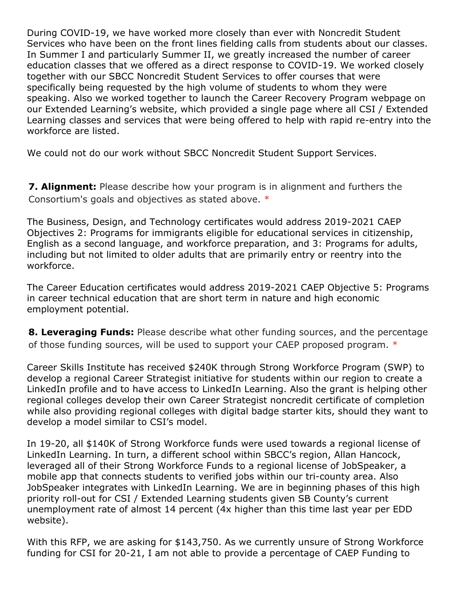During COVID-19, we have worked more closely than ever with Noncredit Student Services who have been on the front lines fielding calls from students about our classes. In Summer I and particularly Summer II, we greatly increased the number of career education classes that we offered as a direct response to COVID-19. We worked closely together with our SBCC Noncredit Student Services to offer courses that were specifically being requested by the high volume of students to whom they were speaking. Also we worked together to launch the Career Recovery Program webpage on our Extended Learning's website, which provided a single page where all CSI / Extended Learning classes and services that were being offered to help with rapid re-entry into the workforce are listed.

We could not do our work without SBCC Noncredit Student Support Services.

**7. Alignment:** Please describe how your program is in alignment and furthers the Consortium's goals and objectives as stated above. \*

The Business, Design, and Technology certificates would address 2019-2021 CAEP Objectives 2: Programs for immigrants eligible for educational services in citizenship, English as a second language, and workforce preparation, and 3: Programs for adults, including but not limited to older adults that are primarily entry or reentry into the workforce.

The Career Education certificates would address 2019-2021 CAEP Objective 5: Programs in career technical education that are short term in nature and high economic employment potential.

**8. Leveraging Funds:** Please describe what other funding sources, and the percentage of those funding sources, will be used to support your CAEP proposed program. \*

Career Skills Institute has received \$240K through Strong Workforce Program (SWP) to develop a regional Career Strategist initiative for students within our region to create a LinkedIn profile and to have access to LinkedIn Learning. Also the grant is helping other regional colleges develop their own Career Strategist noncredit certificate of completion while also providing regional colleges with digital badge starter kits, should they want to develop a model similar to CSI's model.

In 19-20, all \$140K of Strong Workforce funds were used towards a regional license of LinkedIn Learning. In turn, a different school within SBCC's region, Allan Hancock, leveraged all of their Strong Workforce Funds to a regional license of JobSpeaker, a mobile app that connects students to verified jobs within our tri-county area. Also JobSpeaker integrates with LinkedIn Learning. We are in beginning phases of this high priority roll-out for CSI / Extended Learning students given SB County's current unemployment rate of almost 14 percent (4x higher than this time last year per EDD website).

With this RFP, we are asking for \$143,750. As we currently unsure of Strong Workforce funding for CSI for 20-21, I am not able to provide a percentage of CAEP Funding to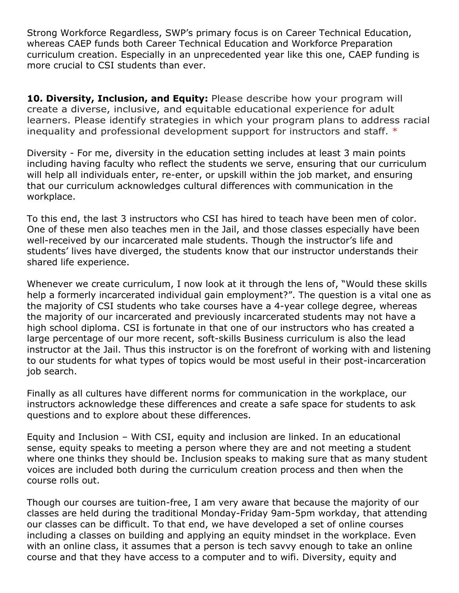Strong Workforce Regardless, SWP's primary focus is on Career Technical Education, whereas CAEP funds both Career Technical Education and Workforce Preparation curriculum creation. Especially in an unprecedented year like this one, CAEP funding is more crucial to CSI students than ever.

**10. Diversity, Inclusion, and Equity:** Please describe how your program will create a diverse, inclusive, and equitable educational experience for adult learners. Please identify strategies in which your program plans to address racial inequality and professional development support for instructors and staff. \*

Diversity - For me, diversity in the education setting includes at least 3 main points including having faculty who reflect the students we serve, ensuring that our curriculum will help all individuals enter, re-enter, or upskill within the job market, and ensuring that our curriculum acknowledges cultural differences with communication in the workplace.

To this end, the last 3 instructors who CSI has hired to teach have been men of color. One of these men also teaches men in the Jail, and those classes especially have been well-received by our incarcerated male students. Though the instructor's life and students' lives have diverged, the students know that our instructor understands their shared life experience.

Whenever we create curriculum, I now look at it through the lens of, "Would these skills help a formerly incarcerated individual gain employment?". The question is a vital one as the majority of CSI students who take courses have a 4-year college degree, whereas the majority of our incarcerated and previously incarcerated students may not have a high school diploma. CSI is fortunate in that one of our instructors who has created a large percentage of our more recent, soft-skills Business curriculum is also the lead instructor at the Jail. Thus this instructor is on the forefront of working with and listening to our students for what types of topics would be most useful in their post-incarceration job search.

Finally as all cultures have different norms for communication in the workplace, our instructors acknowledge these differences and create a safe space for students to ask questions and to explore about these differences.

Equity and Inclusion – With CSI, equity and inclusion are linked. In an educational sense, equity speaks to meeting a person where they are and not meeting a student where one thinks they should be. Inclusion speaks to making sure that as many student voices are included both during the curriculum creation process and then when the course rolls out.

Though our courses are tuition-free, I am very aware that because the majority of our classes are held during the traditional Monday-Friday 9am-5pm workday, that attending our classes can be difficult. To that end, we have developed a set of online courses including a classes on building and applying an equity mindset in the workplace. Even with an online class, it assumes that a person is tech savvy enough to take an online course and that they have access to a computer and to wifi. Diversity, equity and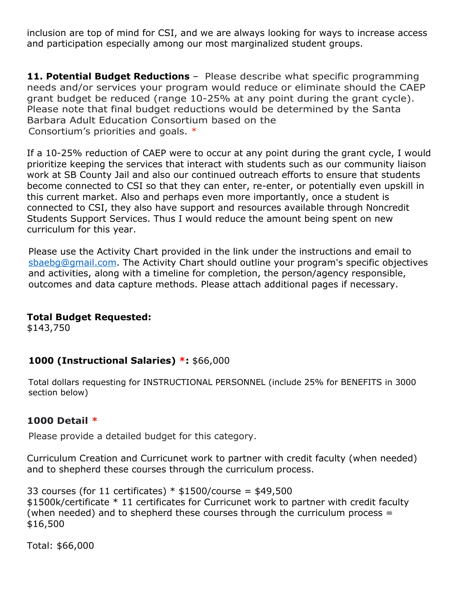inclusion are top of mind for CSI, and we are always looking for ways to increase access and participation especially among our most marginalized student groups.

**11. Potential Budget Reductions** – Please describe what specific programming needs and/or services your program would reduce or eliminate should the CAEP grant budget be reduced (range 10-25% at any point during the grant cycle). Please note that final budget reductions would be determined by the Santa Barbara Adult Education Consortium based on the Consortium's priorities and goals. \*

If a 10-25% reduction of CAEP were to occur at any point during the grant cycle, I would prioritize keeping the services that interact with students such as our community liaison work at SB County Jail and also our continued outreach efforts to ensure that students become connected to CSI so that they can enter, re-enter, or potentially even upskill in this current market. Also and perhaps even more importantly, once a student is connected to CSI, they also have support and resources available through Noncredit Students Support Services. Thus I would reduce the amount being spent on new curriculum for this year.

Please use the Activity Chart provided in the link under the instructions and email to [sbaebg@gmail.com.](mailto:sbaebg@gmail.com) The Activity Chart should outline your program's specific objectives and activities, along with a timeline for completion, the person/agency responsible, outcomes and data capture methods. Please attach additional pages if necessary.

### **Total Budget Requested:**

\$143,750

# **1000 (Instructional Salaries) \*:** \$66,000

Total dollars requesting for INSTRUCTIONAL PERSONNEL (include 25% for BENEFITS in 3000 section below)

### **1000 Detail \***

Please provide a detailed budget for this category.

Curriculum Creation and Curricunet work to partner with credit faculty (when needed) and to shepherd these courses through the curriculum process.

33 courses (for 11 certificates)  $*$  \$1500/course = \$49,500 \$1500k/certificate \* 11 certificates for Curricunet work to partner with credit faculty (when needed) and to shepherd these courses through the curriculum process = \$16,500

Total: \$66,000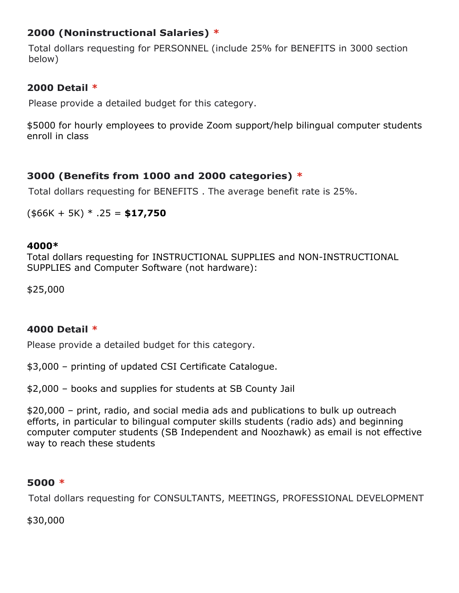# **2000 (Noninstructional Salaries) \***

Total dollars requesting for PERSONNEL (include 25% for BENEFITS in 3000 section below)

# **2000 Detail \***

Please provide a detailed budget for this category.

\$5000 for hourly employees to provide Zoom support/help bilingual computer students enroll in class

# **3000 (Benefits from 1000 and 2000 categories) \***

Total dollars requesting for BENEFITS . The average benefit rate is 25%.

(\$66K + 5K) \* .25 = **\$17,750**

## **4000\***

Total dollars requesting for INSTRUCTIONAL SUPPLIES and NON-INSTRUCTIONAL SUPPLIES and Computer Software (not hardware):

\$25,000

# **4000 Detail \***

Please provide a detailed budget for this category.

\$3,000 – printing of updated CSI Certificate Catalogue.

\$2,000 – books and supplies for students at SB County Jail

\$20,000 – print, radio, and social media ads and publications to bulk up outreach efforts, in particular to bilingual computer skills students (radio ads) and beginning computer computer students (SB Independent and Noozhawk) as email is not effective way to reach these students

# **5000 \***

Total dollars requesting for CONSULTANTS, MEETINGS, PROFESSIONAL DEVELOPMENT

\$30,000